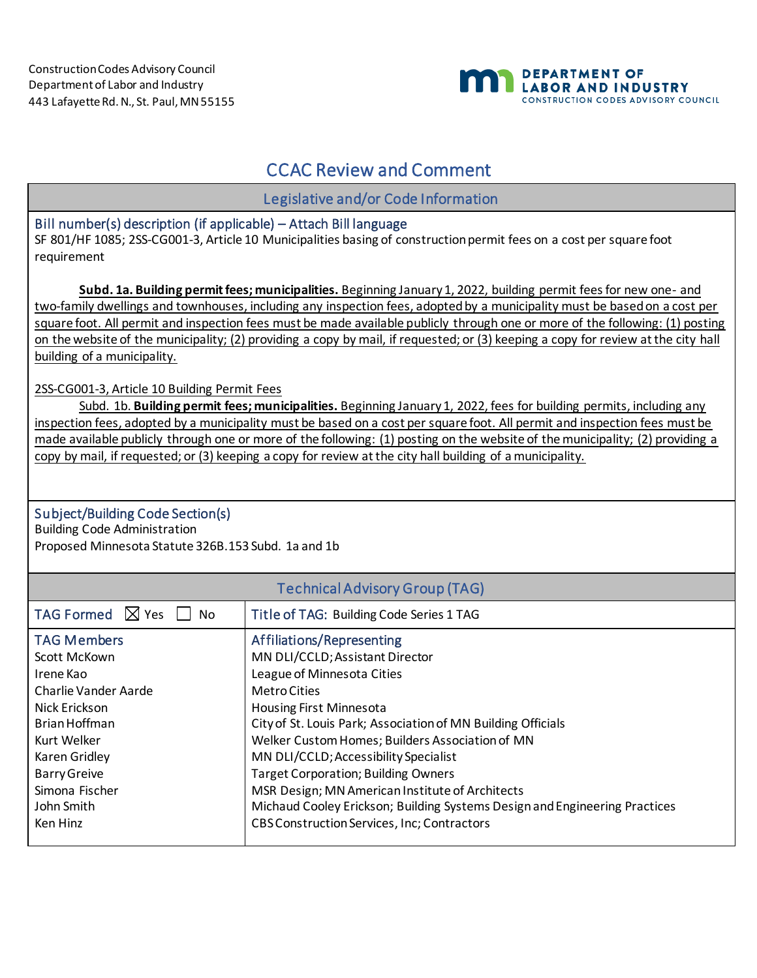

## CCAC Review and Comment

Legislative and/or Code Information

## Bill number(s) description (if applicable) – Attach Bill language

SF 801/HF 1085; 2SS-CG001-3, Article 10 Municipalities basing of construction permit fees on a cost per square foot requirement

**Subd. 1a. Building permit fees; municipalities.** Beginning January 1, 2022, building permit fees for new one- and two-family dwellings and townhouses, including any inspection fees, adopted by a municipality must be based on a cost per square foot. All permit and inspection fees must be made available publicly through one or more of the following: (1) posting on the website of the municipality; (2) providing a copy by mail, if requested; or (3) keeping a copy for review at the city hall building of a municipality.

2SS-CG001-3, Article 10 Building Permit Fees

Subd. 1b. **Building permit fees; municipalities.** Beginning January 1, 2022, fees for building permits, including any inspection fees, adopted by a municipality must be based on a cost per square foot. All permit and inspection fees must be made available publicly through one or more of the following: (1) posting on the website of the municipality; (2) providing a copy by mail, if requested; or (3) keeping a copy for review at the city hall building of a municipality.

## Subject/Building Code Section(s)

Building Code Administration Proposed Minnesota Statute 326B.153 Subd. 1a and 1b

| <b>Technical Advisory Group (TAG)</b>                                                                                                                                                                        |                                                                                                                                                                                                                                                                                                                                                                                                                                                                                                                                               |  |
|--------------------------------------------------------------------------------------------------------------------------------------------------------------------------------------------------------------|-----------------------------------------------------------------------------------------------------------------------------------------------------------------------------------------------------------------------------------------------------------------------------------------------------------------------------------------------------------------------------------------------------------------------------------------------------------------------------------------------------------------------------------------------|--|
| TAG Formed $\boxtimes$ Yes<br>No                                                                                                                                                                             | Title of TAG: Building Code Series 1 TAG                                                                                                                                                                                                                                                                                                                                                                                                                                                                                                      |  |
| <b>TAG Members</b><br>Scott McKown<br>Irene Kao<br>Charlie Vander Aarde<br>Nick Erickson<br>Brian Hoffman<br>Kurt Welker<br>Karen Gridley<br><b>Barry Greive</b><br>Simona Fischer<br>John Smith<br>Ken Hinz | Affiliations/Representing<br>MN DLI/CCLD; Assistant Director<br>League of Minnesota Cities<br>Metro Cities<br><b>Housing First Minnesota</b><br>City of St. Louis Park; Association of MN Building Officials<br>Welker Custom Homes; Builders Association of MN<br>MN DLI/CCLD; Accessibility Specialist<br><b>Target Corporation; Building Owners</b><br>MSR Design; MN American Institute of Architects<br>Michaud Cooley Erickson; Building Systems Design and Engineering Practices<br><b>CBS Construction Services, Inc; Contractors</b> |  |
|                                                                                                                                                                                                              |                                                                                                                                                                                                                                                                                                                                                                                                                                                                                                                                               |  |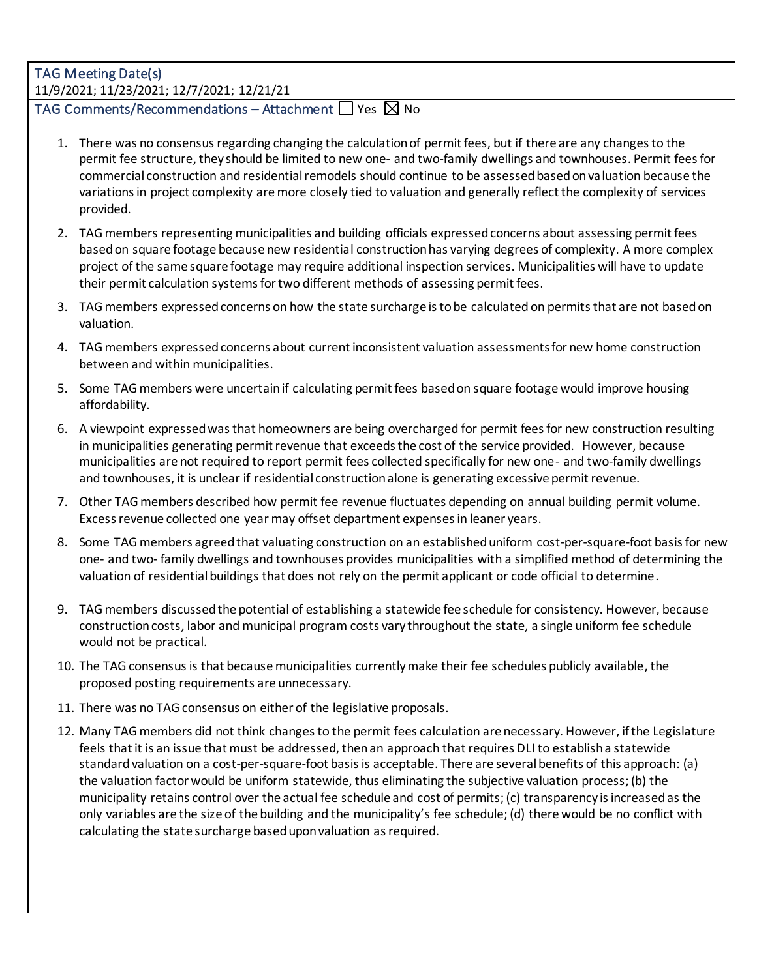## TAG Meeting Date(s) 11/9/2021; 11/23/2021; 12/7/2021; 12/21/21

TAG Comments/Recommendations – Attachment  $\Box$  Yes  $\boxtimes$  No

- 1. There was no consensus regarding changing the calculation of permit fees, but if there are any changes to the permit fee structure, they should be limited to new one- and two-family dwellings and townhouses. Permit fees for commercial construction and residential remodels should continue to be assessed based on valuation because the variations in project complexity are more closely tied to valuation and generally reflect the complexity of services provided.
- 2. TAG members representing municipalities and building officials expressed concerns about assessing permit fees based on square footage because new residential construction has varying degrees of complexity. A more complex project of the same square footage may require additional inspection services. Municipalities will have to update their permit calculation systems for two different methods of assessing permit fees.
- 3. TAG members expressed concerns on how the state surcharge is to be calculated on permits that are not based on valuation.
- 4. TAG members expressed concerns about current inconsistent valuation assessmentsfor new home construction between and within municipalities.
- 5. Some TAG members were uncertain if calculating permit fees based on square footage would improve housing affordability.
- 6. A viewpoint expressed was that homeowners are being overcharged for permit fees for new construction resulting in municipalities generating permit revenue that exceeds the cost of the service provided. However, because municipalities are not required to report permit fees collected specifically for new one- and two-family dwellings and townhouses, it is unclear if residential construction alone is generating excessive permit revenue.
- 7. Other TAG members described how permit fee revenue fluctuates depending on annual building permit volume. Excess revenue collected one year may offset department expenses in leaner years.
- 8. Some TAG members agreed that valuating construction on an established uniform cost-per-square-foot basis for new one- and two- family dwellings and townhouses provides municipalities with a simplified method of determining the valuation of residential buildings that does not rely on the permit applicant or code official to determine.
- 9. TAG members discussed the potential of establishing a statewide fee schedule for consistency. However, because construction costs, labor and municipal program costs vary throughout the state, a single uniform fee schedule would not be practical.
- 10. The TAG consensusis that becausemunicipalities currently make their fee schedules publicly available, the proposed posting requirements are unnecessary.
- 11. There was no TAG consensus on either of the legislative proposals.
- 12. Many TAG members did not think changes to the permit fees calculation are necessary. However, if the Legislature feels that it is an issue that must be addressed, then an approach that requires DLI to establish a statewide standard valuation on a cost-per-square-foot basisis acceptable. There are several benefits of this approach: (a) the valuation factor would be uniform statewide, thus eliminating the subjective valuation process; (b) the municipality retains control over the actual fee schedule and cost of permits; (c) transparency is increased as the only variables are the size of the building and the municipality's fee schedule; (d) there would be no conflict with calculating the state surcharge based upon valuation as required.